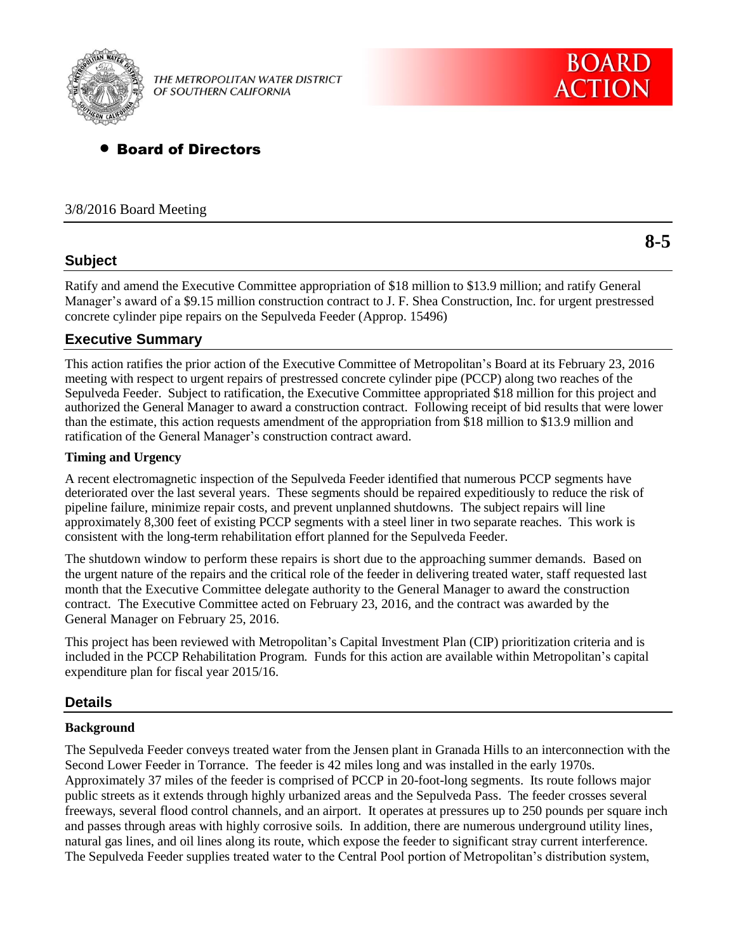

THE METROPOLITAN WATER DISTRICT OF SOUTHERN CALIFORNIA

# Board of Directors

#### 3/8/2016 Board Meeting

## **Subject**

Ratify and amend the Executive Committee appropriation of \$18 million to \$13.9 million; and ratify General Manager's award of a \$9.15 million construction contract to J. F. Shea Construction, Inc. for urgent prestressed concrete cylinder pipe repairs on the Sepulveda Feeder (Approp. 15496)

## **Executive Summary**

This action ratifies the prior action of the Executive Committee of Metropolitan's Board at its February 23, 2016 meeting with respect to urgent repairs of prestressed concrete cylinder pipe (PCCP) along two reaches of the Sepulveda Feeder. Subject to ratification, the Executive Committee appropriated \$18 million for this project and authorized the General Manager to award a construction contract. Following receipt of bid results that were lower than the estimate, this action requests amendment of the appropriation from \$18 million to \$13.9 million and ratification of the General Manager's construction contract award.

#### **Timing and Urgency**

A recent electromagnetic inspection of the Sepulveda Feeder identified that numerous PCCP segments have deteriorated over the last several years. These segments should be repaired expeditiously to reduce the risk of pipeline failure, minimize repair costs, and prevent unplanned shutdowns. The subject repairs will line approximately 8,300 feet of existing PCCP segments with a steel liner in two separate reaches. This work is consistent with the long-term rehabilitation effort planned for the Sepulveda Feeder.

The shutdown window to perform these repairs is short due to the approaching summer demands. Based on the urgent nature of the repairs and the critical role of the feeder in delivering treated water, staff requested last month that the Executive Committee delegate authority to the General Manager to award the construction contract. The Executive Committee acted on February 23, 2016, and the contract was awarded by the General Manager on February 25, 2016.

This project has been reviewed with Metropolitan's Capital Investment Plan (CIP) prioritization criteria and is included in the PCCP Rehabilitation Program. Funds for this action are available within Metropolitan's capital expenditure plan for fiscal year 2015/16.

#### **Details**

#### **Background**

The Sepulveda Feeder conveys treated water from the Jensen plant in Granada Hills to an interconnection with the Second Lower Feeder in Torrance. The feeder is 42 miles long and was installed in the early 1970s. Approximately 37 miles of the feeder is comprised of PCCP in 20-foot-long segments. Its route follows major public streets as it extends through highly urbanized areas and the Sepulveda Pass. The feeder crosses several freeways, several flood control channels, and an airport. It operates at pressures up to 250 pounds per square inch and passes through areas with highly corrosive soils. In addition, there are numerous underground utility lines, natural gas lines, and oil lines along its route, which expose the feeder to significant stray current interference. The Sepulveda Feeder supplies treated water to the Central Pool portion of Metropolitan's distribution system,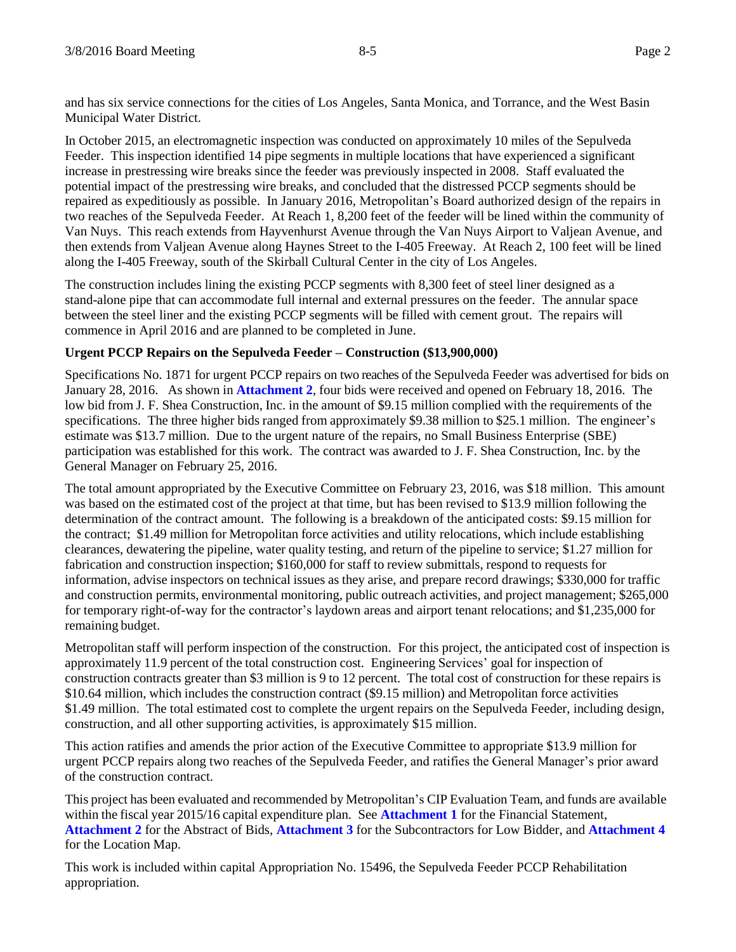and has six service connections for the cities of Los Angeles, Santa Monica, and Torrance, and the West Basin Municipal Water District.

In October 2015, an electromagnetic inspection was conducted on approximately 10 miles of the Sepulveda Feeder. This inspection identified 14 pipe segments in multiple locations that have experienced a significant increase in prestressing wire breaks since the feeder was previously inspected in 2008. Staff evaluated the potential impact of the prestressing wire breaks, and concluded that the distressed PCCP segments should be repaired as expeditiously as possible. In January 2016, Metropolitan's Board authorized design of the repairs in two reaches of the Sepulveda Feeder. At Reach 1, 8,200 feet of the feeder will be lined within the community of Van Nuys. This reach extends from Hayvenhurst Avenue through the Van Nuys Airport to Valjean Avenue, and then extends from Valjean Avenue along Haynes Street to the I-405 Freeway. At Reach 2, 100 feet will be lined along the I-405 Freeway, south of the Skirball Cultural Center in the city of Los Angeles.

The construction includes lining the existing PCCP segments with 8,300 feet of steel liner designed as a stand-alone pipe that can accommodate full internal and external pressures on the feeder. The annular space between the steel liner and the existing PCCP segments will be filled with cement grout. The repairs will commence in April 2016 and are planned to be completed in June.

## **Urgent PCCP Repairs on the Sepulveda Feeder – Construction (\$13,900,000)**

Specifications No. 1871 for urgent PCCP repairs on two reaches of the Sepulveda Feeder was advertised for bids on January 28, 2016. As shown in **Attachment 2**, four bids were received and opened on February 18, 2016. The low bid from J. F. Shea Construction, Inc. in the amount of \$9.15 million complied with the requirements of the specifications. The three higher bids ranged from approximately \$9.38 million to \$25.1 million. The engineer's estimate was \$13.7 million. Due to the urgent nature of the repairs, no Small Business Enterprise (SBE) participation was established for this work. The contract was awarded to J. F. Shea Construction, Inc. by the General Manager on February 25, 2016.

The total amount appropriated by the Executive Committee on February 23, 2016, was \$18 million. This amount was based on the estimated cost of the project at that time, but has been revised to \$13.9 million following the determination of the contract amount. The following is a breakdown of the anticipated costs: \$9.15 million for the contract; \$1.49 million for Metropolitan force activities and utility relocations, which include establishing clearances, dewatering the pipeline, water quality testing, and return of the pipeline to service; \$1.27 million for fabrication and construction inspection; \$160,000 for staff to review submittals, respond to requests for information, advise inspectors on technical issues as they arise, and prepare record drawings; \$330,000 for traffic and construction permits, environmental monitoring, public outreach activities, and project management; \$265,000 for temporary right-of-way for the contractor's laydown areas and airport tenant relocations; and \$1,235,000 for remaining budget.

Metropolitan staff will perform inspection of the construction. For this project, the anticipated cost of inspection is approximately 11.9 percent of the total construction cost. Engineering Services' goal for inspection of construction contracts greater than \$3 million is 9 to 12 percent. The total cost of construction for these repairs is \$10.64 million, which includes the construction contract (\$9.15 million) and Metropolitan force activities \$1.49 million. The total estimated cost to complete the urgent repairs on the Sepulveda Feeder, including design, construction, and all other supporting activities, is approximately \$15 million.

This action ratifies and amends the prior action of the Executive Committee to appropriate \$13.9 million for urgent PCCP repairs along two reaches of the Sepulveda Feeder, and ratifies the General Manager's prior award of the construction contract.

This project has been evaluated and recommended by Metropolitan's CIP Evaluation Team, and funds are available within the fiscal year 2015/16 capital expenditure plan. See **Attachment 1** for the Financial Statement, **Attachment 2** for the Abstract of Bids, **Attachment 3** for the Subcontractors for Low Bidder, and **Attachment 4** for the Location Map.

This work is included within capital Appropriation No. 15496, the Sepulveda Feeder PCCP Rehabilitation appropriation.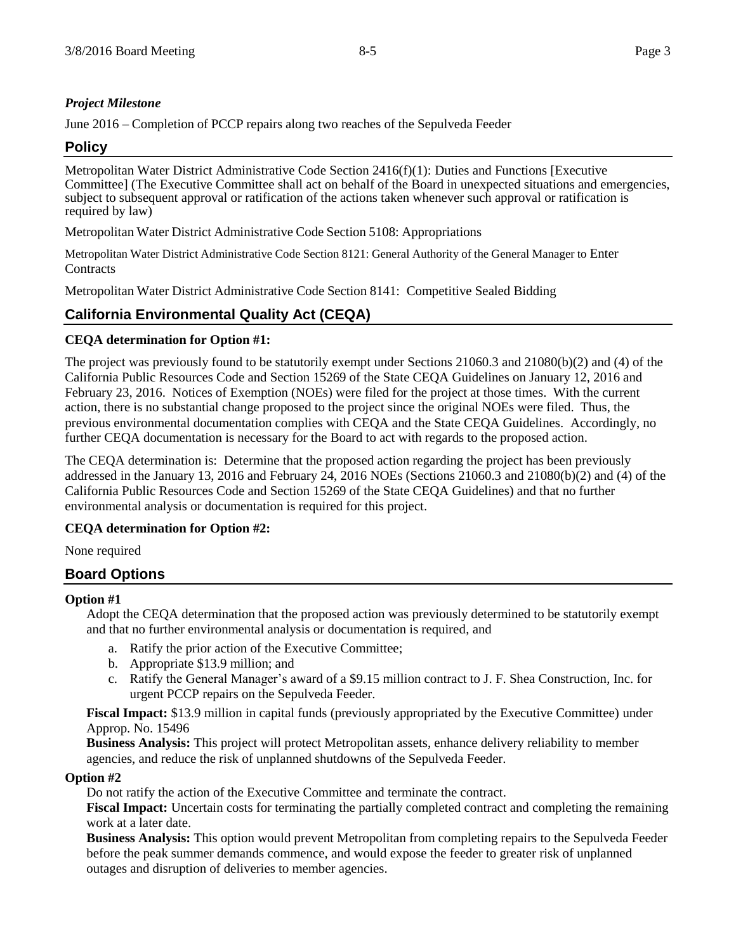## *Project Milestone*

June 2016 – Completion of PCCP repairs along two reaches of the Sepulveda Feeder

## **Policy**

Metropolitan Water District Administrative Code Section 2416(f)(1): Duties and Functions [Executive Committee] (The Executive Committee shall act on behalf of the Board in unexpected situations and emergencies, subject to subsequent approval or ratification of the actions taken whenever such approval or ratification is required by law)

Metropolitan Water District Administrative Code Section 5108: Appropriations

Metropolitan Water District Administrative Code Section 8121: General Authority of the General Manager to Enter **Contracts** 

Metropolitan Water District Administrative Code Section 8141: Competitive Sealed Bidding

# **California Environmental Quality Act (CEQA)**

## **CEQA determination for Option #1:**

The project was previously found to be statutorily exempt under Sections 21060.3 and 21080(b)(2) and (4) of the California Public Resources Code and Section 15269 of the State CEQA Guidelines on January 12, 2016 and February 23, 2016. Notices of Exemption (NOEs) were filed for the project at those times. With the current action, there is no substantial change proposed to the project since the original NOEs were filed. Thus, the previous environmental documentation complies with CEQA and the State CEQA Guidelines. Accordingly, no further CEQA documentation is necessary for the Board to act with regards to the proposed action.

The CEQA determination is: Determine that the proposed action regarding the project has been previously addressed in the January 13, 2016 and February 24, 2016 NOEs (Sections 21060.3 and 21080(b)(2) and (4) of the California Public Resources Code and Section 15269 of the State CEQA Guidelines) and that no further environmental analysis or documentation is required for this project.

## **CEQA determination for Option #2:**

None required

## **Board Options**

#### **Option #1**

Adopt the CEQA determination that the proposed action was previously determined to be statutorily exempt and that no further environmental analysis or documentation is required, and

- a. Ratify the prior action of the Executive Committee;
- b. Appropriate \$13.9 million; and
- c. Ratify the General Manager's award of a \$9.15 million contract to J. F. Shea Construction, Inc. for urgent PCCP repairs on the Sepulveda Feeder.

**Fiscal Impact:** \$13.9 million in capital funds (previously appropriated by the Executive Committee) under Approp. No. 15496

**Business Analysis:** This project will protect Metropolitan assets, enhance delivery reliability to member agencies, and reduce the risk of unplanned shutdowns of the Sepulveda Feeder.

#### **Option #2**

Do not ratify the action of the Executive Committee and terminate the contract.

**Fiscal Impact:** Uncertain costs for terminating the partially completed contract and completing the remaining work at a later date.

**Business Analysis:** This option would prevent Metropolitan from completing repairs to the Sepulveda Feeder before the peak summer demands commence, and would expose the feeder to greater risk of unplanned outages and disruption of deliveries to member agencies.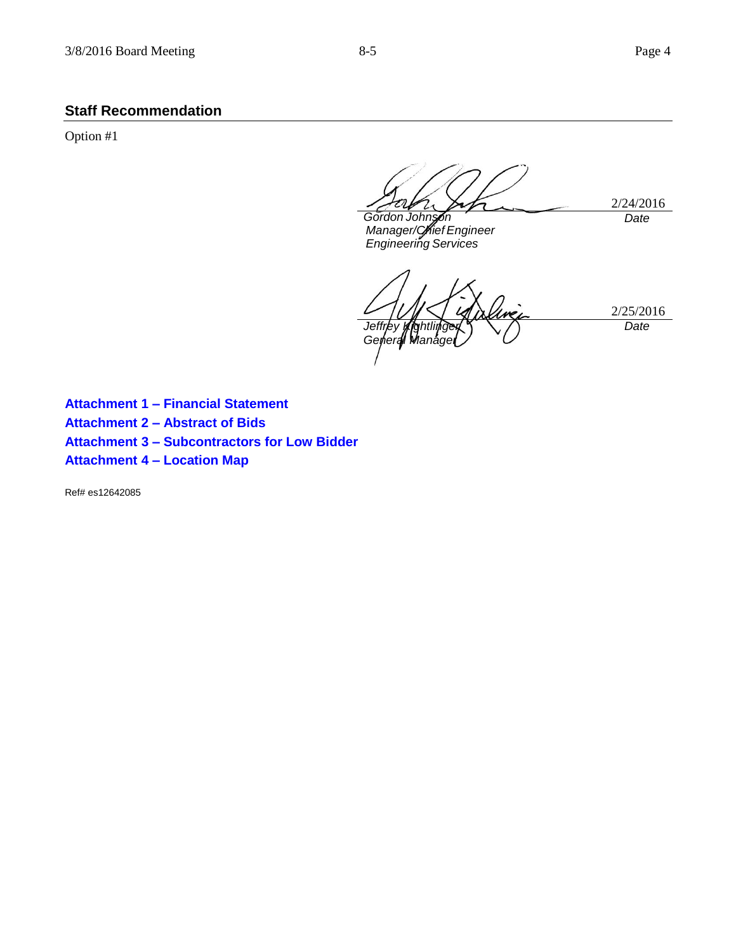# **Staff Recommendation**

Option #1

2/24/2016 *Gordon Johnson Date*

*Manager/Chief Engineer Engineering Services*

2/25/2016 *Jeffrey Kightlinger Geherall Wlanagel Date*

**Attachment 1 – Financial Statement Attachment 2 – Abstract of Bids Attachment 3 – Subcontractors for Low Bidder Attachment 4 – Location Map**

Ref# es12642085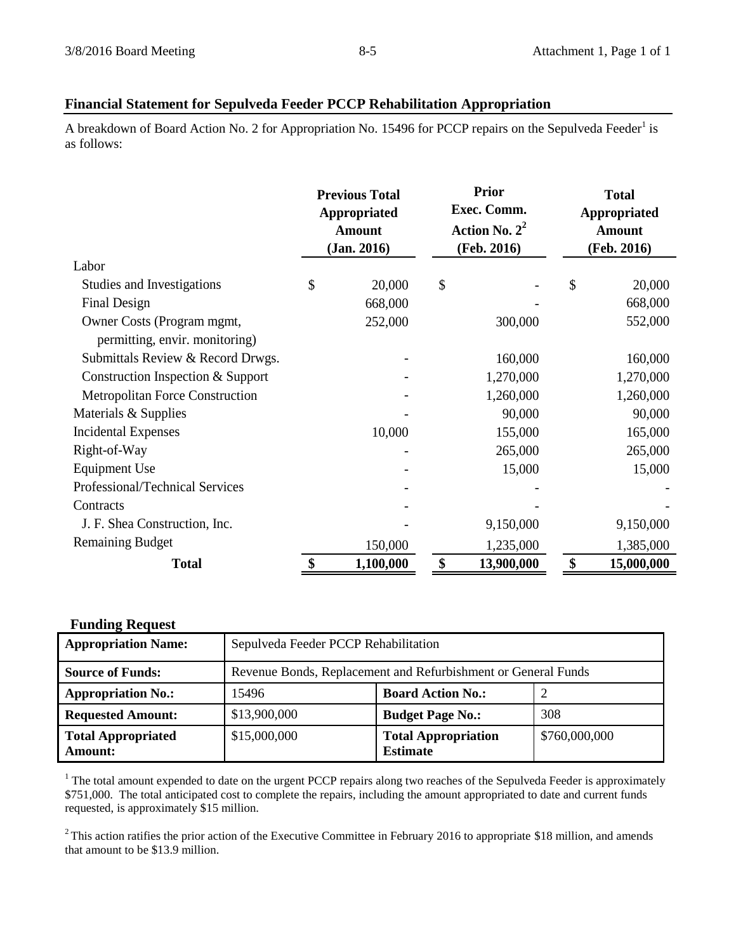# **Financial Statement for Sepulveda Feeder PCCP Rehabilitation Appropriation**

A breakdown of Board Action No. 2 for Appropriation No. 15496 for PCCP repairs on the Sepulveda Feeder<sup>1</sup> is as follows:

|                                        | <b>Previous Total</b><br>Appropriated<br><b>Amount</b><br>(Jan. 2016) |    | <b>Prior</b><br>Exec. Comm.<br>Action No. $2^2$<br>(Feb. 2016) | <b>Total</b><br>Appropriated<br><b>Amount</b><br>(Feb. 2016) |            |
|----------------------------------------|-----------------------------------------------------------------------|----|----------------------------------------------------------------|--------------------------------------------------------------|------------|
| Labor                                  |                                                                       |    |                                                                |                                                              |            |
| Studies and Investigations             | \$<br>20,000                                                          | \$ |                                                                | \$                                                           | 20,000     |
| Final Design                           | 668,000                                                               |    |                                                                |                                                              | 668,000    |
| Owner Costs (Program mgmt,             | 252,000                                                               |    | 300,000                                                        |                                                              | 552,000    |
| permitting, envir. monitoring)         |                                                                       |    |                                                                |                                                              |            |
| Submittals Review & Record Drwgs.      |                                                                       |    | 160,000                                                        |                                                              | 160,000    |
| Construction Inspection & Support      |                                                                       |    | 1,270,000                                                      |                                                              | 1,270,000  |
| <b>Metropolitan Force Construction</b> |                                                                       |    | 1,260,000                                                      |                                                              | 1,260,000  |
| Materials & Supplies                   |                                                                       |    | 90,000                                                         |                                                              | 90,000     |
| <b>Incidental Expenses</b>             | 10,000                                                                |    | 155,000                                                        |                                                              | 165,000    |
| Right-of-Way                           |                                                                       |    | 265,000                                                        |                                                              | 265,000    |
| <b>Equipment Use</b>                   |                                                                       |    | 15,000                                                         |                                                              | 15,000     |
| Professional/Technical Services        |                                                                       |    |                                                                |                                                              |            |
| Contracts                              |                                                                       |    |                                                                |                                                              |            |
| J. F. Shea Construction, Inc.          |                                                                       |    | 9,150,000                                                      |                                                              | 9,150,000  |
| <b>Remaining Budget</b>                | 150,000                                                               |    | 1,235,000                                                      |                                                              | 1,385,000  |
| <b>Total</b>                           | \$<br>1,100,000                                                       | \$ | 13,900,000                                                     | \$                                                           | 15,000,000 |

| <b>Funding Request</b>                      |                                                               |                                               |               |  |  |  |
|---------------------------------------------|---------------------------------------------------------------|-----------------------------------------------|---------------|--|--|--|
| <b>Appropriation Name:</b>                  | Sepulveda Feeder PCCP Rehabilitation                          |                                               |               |  |  |  |
| <b>Source of Funds:</b>                     | Revenue Bonds, Replacement and Refurbishment or General Funds |                                               |               |  |  |  |
| <b>Appropriation No.:</b>                   | 15496                                                         | <b>Board Action No.:</b>                      |               |  |  |  |
| <b>Requested Amount:</b>                    | \$13,900,000                                                  | <b>Budget Page No.:</b>                       | 308           |  |  |  |
| <b>Total Appropriated</b><br><b>Amount:</b> | \$15,000,000                                                  | <b>Total Appropriation</b><br><b>Estimate</b> | \$760,000,000 |  |  |  |

 $1$  The total amount expended to date on the urgent PCCP repairs along two reaches of the Sepulveda Feeder is approximately \$751,000. The total anticipated cost to complete the repairs, including the amount appropriated to date and current funds requested, is approximately \$15 million.

 $2$  This action ratifies the prior action of the Executive Committee in February 2016 to appropriate \$18 million, and amends that amount to be \$13.9 million.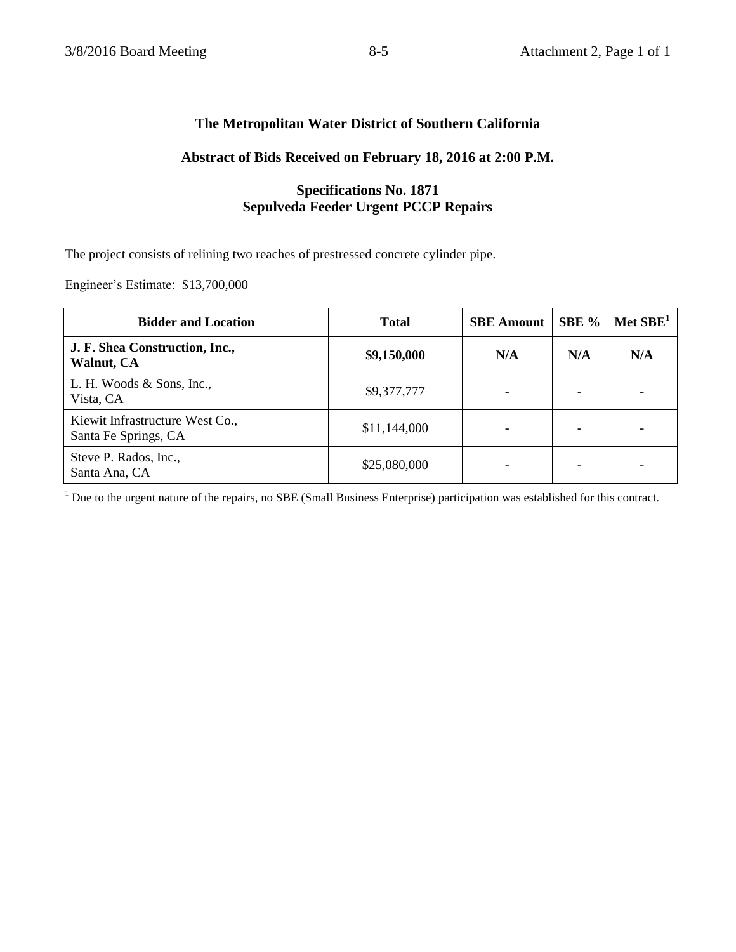## **The Metropolitan Water District of Southern California**

## **Abstract of Bids Received on February 18, 2016 at 2:00 P.M.**

# **Specifications No. 1871 Sepulveda Feeder Urgent PCCP Repairs**

The project consists of relining two reaches of prestressed concrete cylinder pipe.

Engineer's Estimate: \$13,700,000

| <b>Bidder and Location</b>                              | <b>Total</b> | <b>SBE</b> Amount | SBE % | Met $SBE1$ |
|---------------------------------------------------------|--------------|-------------------|-------|------------|
| J. F. Shea Construction, Inc.,<br><b>Walnut, CA</b>     | \$9,150,000  | N/A               | N/A   | N/A        |
| L. H. Woods & Sons, Inc.,<br>Vista, CA                  | \$9,377,777  |                   |       |            |
| Kiewit Infrastructure West Co.,<br>Santa Fe Springs, CA | \$11,144,000 |                   |       |            |
| Steve P. Rados, Inc.,<br>Santa Ana, CA                  | \$25,080,000 |                   |       |            |

<sup>1</sup> Due to the urgent nature of the repairs, no SBE (Small Business Enterprise) participation was established for this contract.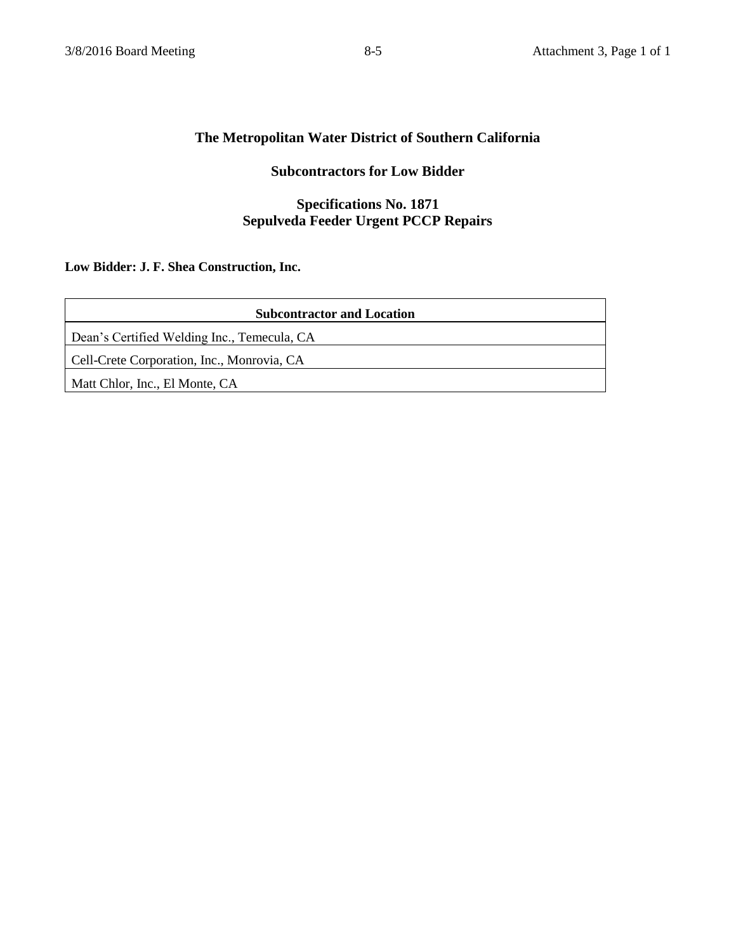## **The Metropolitan Water District of Southern California**

# **Subcontractors for Low Bidder**

## **Specifications No. 1871 Sepulveda Feeder Urgent PCCP Repairs**

# **Low Bidder: J. F. Shea Construction, Inc.**

| <b>Subcontractor and Location</b>           |  |  |
|---------------------------------------------|--|--|
| Dean's Certified Welding Inc., Temecula, CA |  |  |
| Cell-Crete Corporation, Inc., Monrovia, CA  |  |  |
| Matt Chlor, Inc., El Monte, CA              |  |  |